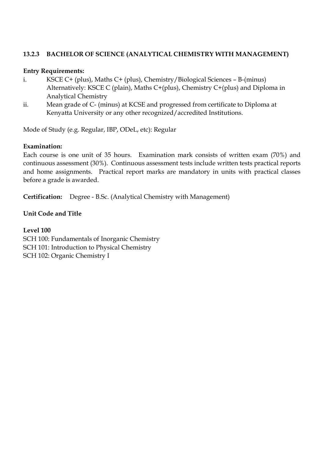# **13.2.3 BACHELOR OF SCIENCE (ANALYTICAL CHEMISTRY WITH MANAGEMENT)**

### **Entry Requirements:**

- i. KSCE C+ (plus), Maths C+ (plus), Chemistry/Biological Sciences B-(minus) Alternatively: KSCE C (plain), Maths C+(plus), Chemistry C+(plus) and Diploma in Analytical Chemistry
- ii. Mean grade of C- (minus) at KCSE and progressed from certificate to Diploma at Kenyatta University or any other recognized/accredited Institutions.

Mode of Study (e.g. Regular, IBP, ODeL, etc): Regular

### **Examination:**

Each course is one unit of 35 hours. Examination mark consists of written exam (70%) and continuous assessment (30%). Continuous assessment tests include written tests practical reports and home assignments. Practical report marks are mandatory in units with practical classes before a grade is awarded.

**Certification:** Degree - B.Sc. (Analytical Chemistry with Management)

# **Unit Code and Title**

#### **Level 100**

SCH 100: Fundamentals of Inorganic Chemistry SCH 101: Introduction to Physical Chemistry SCH 102: Organic Chemistry I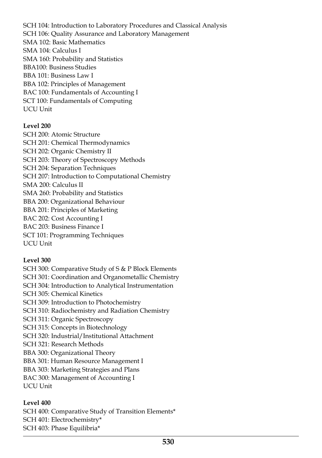SCH 104: Introduction to Laboratory Procedures and Classical Analysis SCH 106: Quality Assurance and Laboratory Management SMA 102: Basic Mathematics SMA 104: Calculus I SMA 160: Probability and Statistics BBA100: Business Studies BBA 101: Business Law I BBA 102: Principles of Management BAC 100: Fundamentals of Accounting I SCT 100: Fundamentals of Computing UCU Unit

### **Level 200**

SCH 200: Atomic Structure SCH 201: Chemical Thermodynamics SCH 202: Organic Chemistry II SCH 203: Theory of Spectroscopy Methods SCH 204: Separation Techniques SCH 207: Introduction to Computational Chemistry SMA 200: Calculus II SMA 260: Probability and Statistics BBA 200: Organizational Behaviour BBA 201: Principles of Marketing BAC 202: Cost Accounting I BAC 203: Business Finance I SCT 101: Programming Techniques UCU Unit

# **Level 300**

SCH 300: Comparative Study of S & P Block Elements SCH 301: Coordination and Organometallic Chemistry SCH 304: Introduction to Analytical Instrumentation SCH 305: Chemical Kinetics SCH 309: Introduction to Photochemistry SCH 310: Radiochemistry and Radiation Chemistry SCH 311: Organic Spectroscopy SCH 315: Concepts in Biotechnology SCH 320: Industrial/Institutional Attachment SCH 321: Research Methods BBA 300: Organizational Theory BBA 301: Human Resource Management I BBA 303: Marketing Strategies and Plans BAC 300: Management of Accounting I UCU Unit

# **Level 400**

SCH 400: Comparative Study of Transition Elements\* SCH 401: Electrochemistry\* SCH 403: Phase Equilibria\*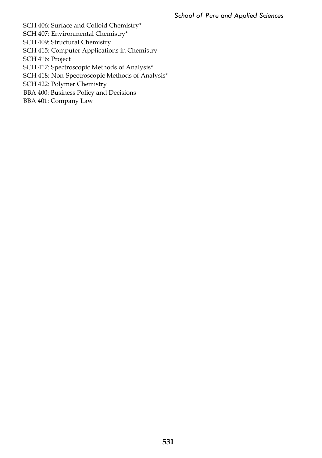SCH 406: Surface and Colloid Chemistry\*

SCH 407: Environmental Chemistry\*

SCH 409: Structural Chemistry

SCH 415: Computer Applications in Chemistry

SCH 416: Project

SCH 417: Spectroscopic Methods of Analysis\*

SCH 418: Non-Spectroscopic Methods of Analysis\*

SCH 422: Polymer Chemistry

BBA 400: Business Policy and Decisions

BBA 401: Company Law